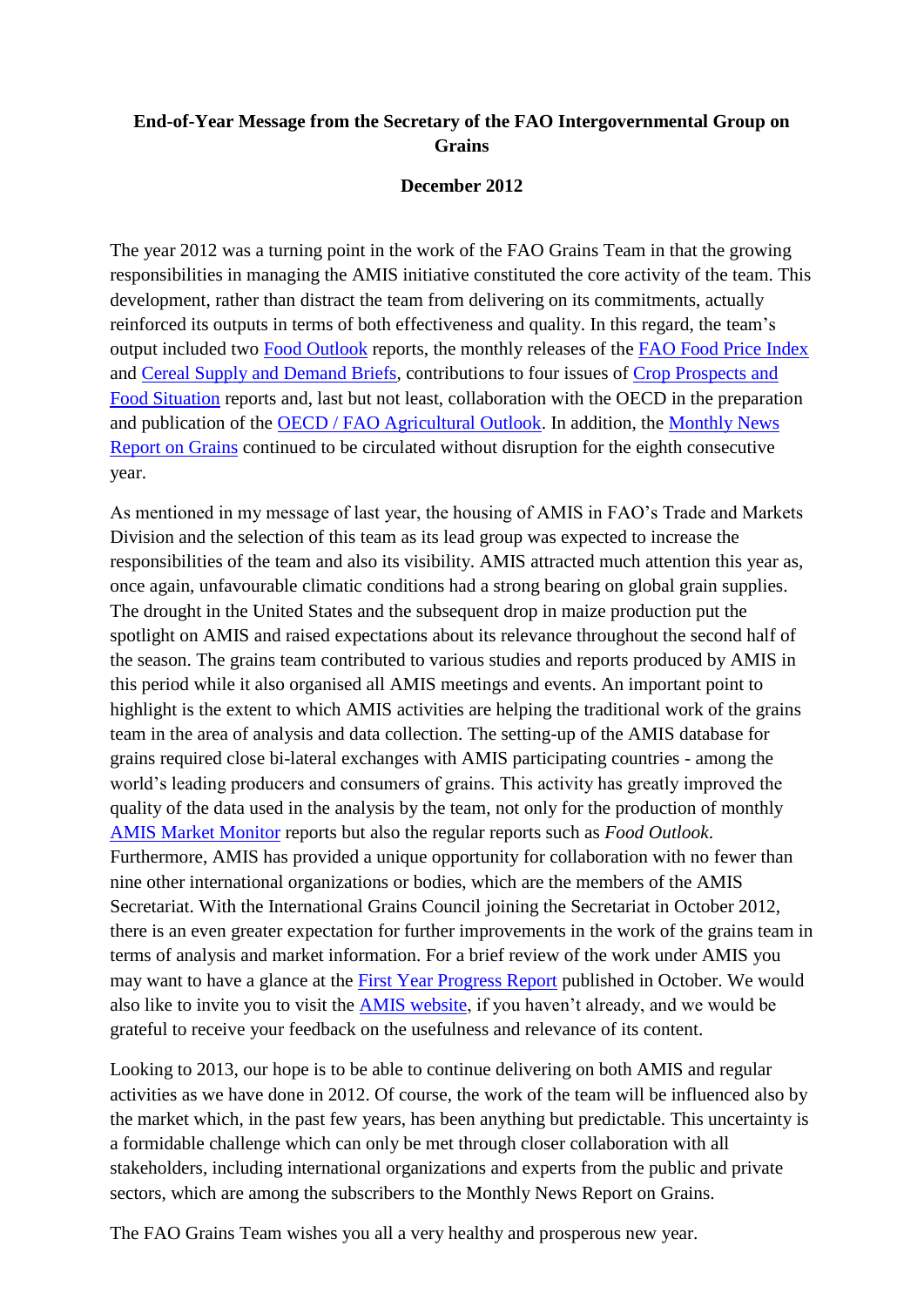## **End-of-Year Message from the Secretary of the FAO Intergovernmental Group on Grains**

## **December 2012**

The year 2012 was a turning point in the work of the FAO Grains Team in that the growing responsibilities in managing the AMIS initiative constituted the core activity of the team. This development, rather than distract the team from delivering on its commitments, actually reinforced its outputs in terms of both effectiveness and quality. In this regard, the team's output included two **Food Outlook** reports, the monthly releases of the **FAO Food Price Index** and [Cereal Supply and Demand Briefs,](http://www.fao.org/worldfoodsituation/wfs-home/csdb/en/) contributions to four issues of [Crop Prospects and](http://www.fao.org/giews/english/cpfs/index.htm)  [Food Situation](http://www.fao.org/giews/english/cpfs/index.htm) reports and, last but not least, collaboration with the OECD in the preparation and publication of the [OECD / FAO Agricultural Outlook.](http://www.oecd.org/site/oecd-faoagriculturaloutlook/) In addition, the [Monthly News](http://www.fao.org/economic/est/publications/grains-publications/monthly-news-report-on-grains-mnr/en/)  [Report on Grains](http://www.fao.org/economic/est/publications/grains-publications/monthly-news-report-on-grains-mnr/en/) continued to be circulated without disruption for the eighth consecutive year.

As mentioned in my message of last year, the housing of AMIS in FAO's Trade and Markets Division and the selection of this team as its lead group was expected to increase the responsibilities of the team and also its visibility. AMIS attracted much attention this year as, once again, unfavourable climatic conditions had a strong bearing on global grain supplies. The drought in the United States and the subsequent drop in maize production put the spotlight on AMIS and raised expectations about its relevance throughout the second half of the season. The grains team contributed to various studies and reports produced by AMIS in this period while it also organised all AMIS meetings and events. An important point to highlight is the extent to which AMIS activities are helping the traditional work of the grains team in the area of analysis and data collection. The setting-up of the AMIS database for grains required close bi-lateral exchanges with AMIS participating countries - among the world's leading producers and consumers of grains. This activity has greatly improved the quality of the data used in the analysis by the team, not only for the production of monthly [AMIS Market Monitor](http://www.amis-outlook.org/amis-monitoring/en/) reports but also the regular reports such as *Food Outlook*. Furthermore, AMIS has provided a unique opportunity for collaboration with no fewer than nine other international organizations or bodies, which are the members of the AMIS Secretariat. With the International Grains Council joining the Secretariat in October 2012, there is an even greater expectation for further improvements in the work of the grains team in terms of analysis and market information. For a brief review of the work under AMIS you may want to have a glance at the [First Year Progress Report](http://www.amis-outlook.org/fileadmin/user_upload/amis/docs/reports/AMIS_First_year_progress.pdf) published in October. We would also like to invite you to visit the [AMIS website,](http://www.amis-outlook.org/home/en/) if you haven't already, and we would be grateful to receive your feedback on the usefulness and relevance of its content.

Looking to 2013, our hope is to be able to continue delivering on both AMIS and regular activities as we have done in 2012. Of course, the work of the team will be influenced also by the market which, in the past few years, has been anything but predictable. This uncertainty is a formidable challenge which can only be met through closer collaboration with all stakeholders, including international organizations and experts from the public and private sectors, which are among the subscribers to the Monthly News Report on Grains.

The FAO Grains Team wishes you all a very healthy and prosperous new year.